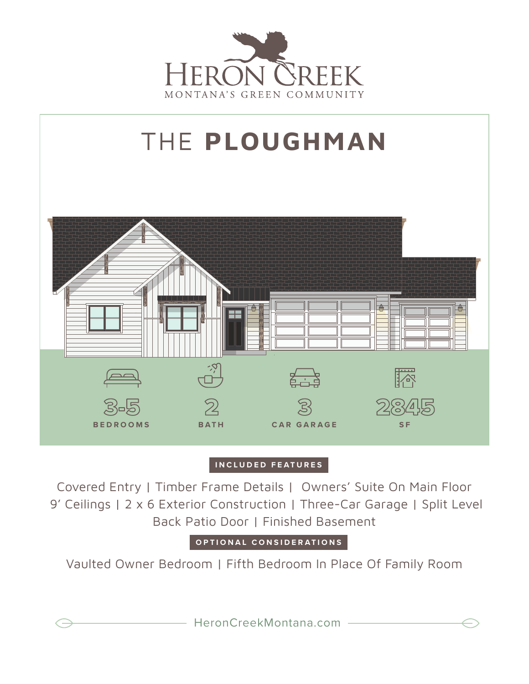



## **INCLUDED FEATURES**

Covered Entry | Timber Frame Details | Owners' Suite On Main Floor 9' Ceilings | 2 x 6 Exterior Construction | Three-Car Garage | Split Level Back Patio Door | Finished Basement

**OPTIONAL CONSIDERATIONS**

Vaulted Owner Bedroom | Fifth Bedroom In Place Of Family Room

HeronCreekMontana.com